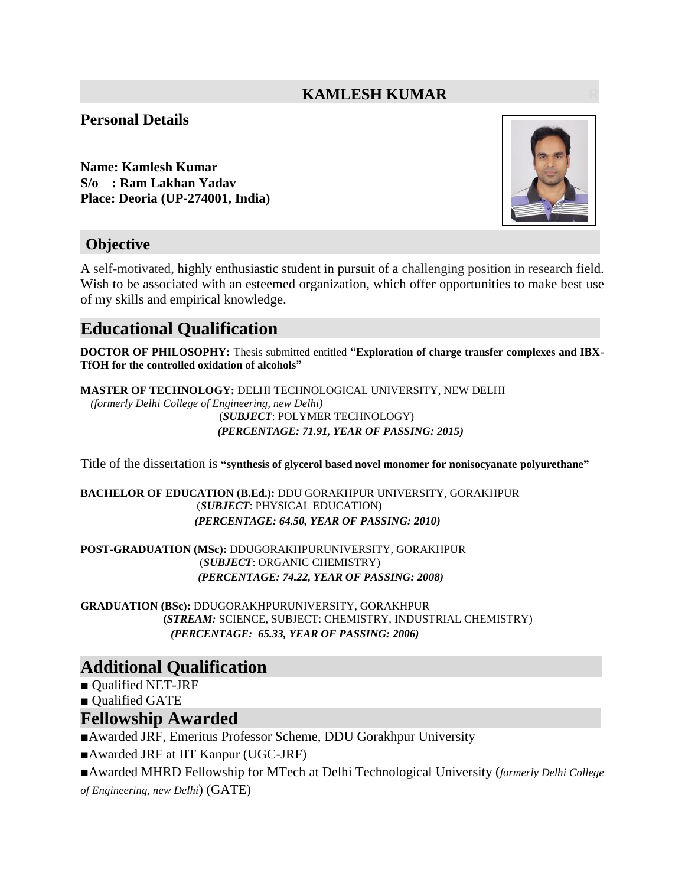### **KAMLESH KUMAR**

#### **Personal Details**

**Name: Kamlesh Kumar S/o : Ram Lakhan Yadav Place: Deoria (UP-274001, India)**



### **Objective**

A self-motivated, highly enthusiastic student in pursuit of a challenging position in research field. Wish to be associated with an esteemed organization, which offer opportunities to make best use of my skills and empirical knowledge.

## **Educational Qualification**

**DOCTOR OF PHILOSOPHY:** Thesis submitted entitled **"Exploration of charge transfer complexes and IBX-TfOH for the controlled oxidation of alcohols"**

**MASTER OF TECHNOLOGY:** DELHI TECHNOLOGICAL UNIVERSITY, NEW DELHI *(formerly Delhi College of Engineering, new Delhi)* (*SUBJECT*: POLYMER TECHNOLOGY) *(PERCENTAGE: 71.91, YEAR OF PASSING: 2015)*

Title of the dissertation is **"synthesis of glycerol based novel monomer for nonisocyanate polyurethane"**

**BACHELOR OF EDUCATION (B.Ed.):** DDU GORAKHPUR UNIVERSITY, GORAKHPUR (*SUBJECT*: PHYSICAL EDUCATION) *(PERCENTAGE: 64.50, YEAR OF PASSING: 2010)*

**POST-GRADUATION (MSc):** DDUGORAKHPURUNIVERSITY, GORAKHPUR (*SUBJECT*: ORGANIC CHEMISTRY) *(PERCENTAGE: 74.22, YEAR OF PASSING: 2008)*

**GRADUATION (BSc):** DDUGORAKHPURUNIVERSITY, GORAKHPUR  **(***STREAM:* SCIENCE, SUBJECT: CHEMISTRY, INDUSTRIAL CHEMISTRY)  *(PERCENTAGE: 65.33, YEAR OF PASSING: 2006)*

### **Additional Qualification**

■ Qualified NET-JRF

■ Qualified GATE

#### **Fellowship Awarded**

■Awarded JRF, Emeritus Professor Scheme, DDU Gorakhpur University

■Awarded JRF at IIT Kanpur (UGC-JRF)

■Awarded MHRD Fellowship for MTech at Delhi Technological University (*formerly Delhi College of Engineering, new Delhi*) (GATE)